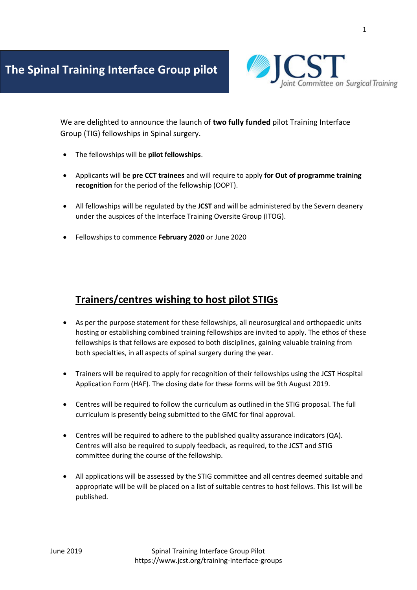

We are delighted to announce the launch of **two fully funded** pilot Training Interface Group (TIG) fellowships in Spinal surgery.

- The fellowships will be **pilot fellowships**.
- Applicants will be **pre CCT trainees** and will require to apply **for Out of programme training recognition** for the period of the fellowship (OOPT).
- All fellowships will be regulated by the **JCST** and will be administered by the Severn deanery under the auspices of the Interface Training Oversite Group (ITOG).
- Fellowships to commence **February 2020** or June 2020

## **Trainers/centres wishing to host pilot STIGs**

- As per the purpose statement for these fellowships, all neurosurgical and orthopaedic units hosting or establishing combined training fellowships are invited to apply. The ethos of these fellowships is that fellows are exposed to both disciplines, gaining valuable training from both specialties, in all aspects of spinal surgery during the year.
- Trainers will be required to apply for recognition of their fellowships using the JCST Hospital Application Form (HAF). The closing date for these forms will be 9th August 2019.
- Centres will be required to follow the curriculum as outlined in the STIG proposal. The full curriculum is presently being submitted to the GMC for final approval.
- Centres will be required to adhere to the published quality assurance indicators (QA). Centres will also be required to supply feedback, as required, to the JCST and STIG committee during the course of the fellowship.
- All applications will be assessed by the STIG committee and all centres deemed suitable and appropriate will be will be placed on a list of suitable centres to host fellows. This list will be published.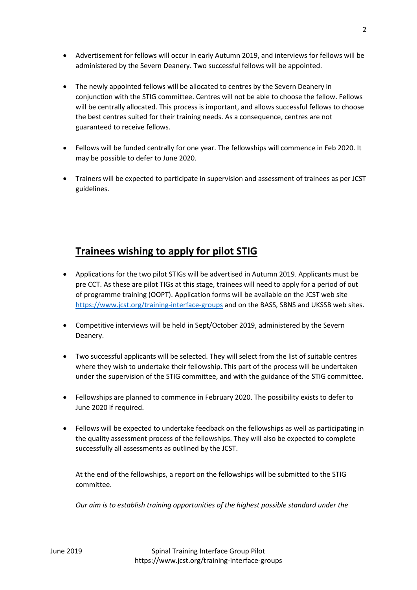- Advertisement for fellows will occur in early Autumn 2019, and interviews for fellows will be administered by the Severn Deanery. Two successful fellows will be appointed.
- The newly appointed fellows will be allocated to centres by the Severn Deanery in conjunction with the STIG committee. Centres will not be able to choose the fellow. Fellows will be centrally allocated. This process is important, and allows successful fellows to choose the best centres suited for their training needs. As a consequence, centres are not guaranteed to receive fellows.
- Fellows will be funded centrally for one year. The fellowships will commence in Feb 2020. It may be possible to defer to June 2020.
- Trainers will be expected to participate in supervision and assessment of trainees as per JCST guidelines.

## **Trainees wishing to apply for pilot STIG**

- Applications for the two pilot STIGs will be advertised in Autumn 2019. Applicants must be pre CCT. As these are pilot TIGs at this stage, trainees will need to apply for a period of out of programme training (OOPT). Application forms will be available on the JCST web site <https://www.jcst.org/training-interface-groups> and on the BASS, SBNS and UKSSB web sites.
- Competitive interviews will be held in Sept/October 2019, administered by the Severn Deanery.
- Two successful applicants will be selected. They will select from the list of suitable centres where they wish to undertake their fellowship. This part of the process will be undertaken under the supervision of the STIG committee, and with the guidance of the STIG committee.
- Fellowships are planned to commence in February 2020. The possibility exists to defer to June 2020 if required.
- Fellows will be expected to undertake feedback on the fellowships as well as participating in the quality assessment process of the fellowships. They will also be expected to complete successfully all assessments as outlined by the JCST.

At the end of the fellowships, a report on the fellowships will be submitted to the STIG committee.

*Our aim is to establish training opportunities of the highest possible standard under the*